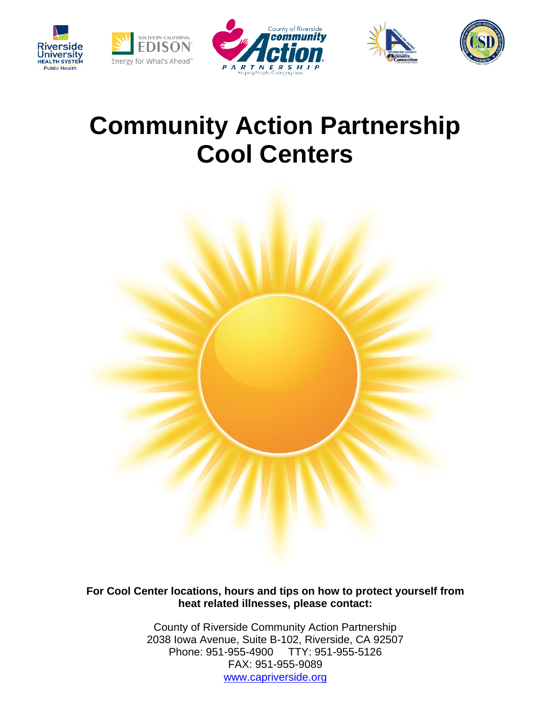









# **Community Action Partnership Cool Centers**



**For Cool Center locations, hours and tips on how to protect yourself from heat related illnesses, please contact:**

> County of Riverside Community Action Partnership 2038 Iowa Avenue, Suite B-102, Riverside, CA 92507 Phone: 951-955-4900 TTY: 951-955-5126 FAX: 951-955-9089 [www.capriverside.org](http://www.capriverside.org/)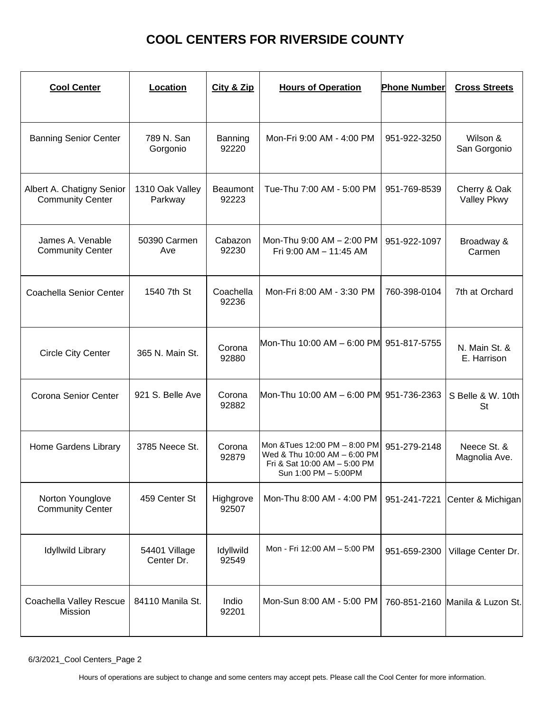| <b>Cool Center</b>                                   | Location                    | City & Zip               | <b>Hours of Operation</b>                                                                                             | <b>Phone Number</b> | <b>Cross Streets</b>               |
|------------------------------------------------------|-----------------------------|--------------------------|-----------------------------------------------------------------------------------------------------------------------|---------------------|------------------------------------|
| <b>Banning Senior Center</b>                         | 789 N. San<br>Gorgonio      | Banning<br>92220         | Mon-Fri 9:00 AM - 4:00 PM                                                                                             | 951-922-3250        | Wilson &<br>San Gorgonio           |
| Albert A. Chatigny Senior<br><b>Community Center</b> | 1310 Oak Valley<br>Parkway  | <b>Beaumont</b><br>92223 | Tue-Thu 7:00 AM - 5:00 PM                                                                                             | 951-769-8539        | Cherry & Oak<br><b>Valley Pkwy</b> |
| James A. Venable<br><b>Community Center</b>          | 50390 Carmen<br>Ave         | Cabazon<br>92230         | Mon-Thu 9:00 AM - 2:00 PM<br>Fri 9:00 AM - 11:45 AM                                                                   | 951-922-1097        | Broadway &<br>Carmen               |
| <b>Coachella Senior Center</b>                       | 1540 7th St                 | Coachella<br>92236       | Mon-Fri 8:00 AM - 3:30 PM                                                                                             | 760-398-0104        | 7th at Orchard                     |
| <b>Circle City Center</b>                            | 365 N. Main St.             | Corona<br>92880          | Mon-Thu 10:00 AM - 6:00 PM 951-817-5755                                                                               |                     | N. Main St. &<br>E. Harrison       |
| Corona Senior Center                                 | 921 S. Belle Ave            | Corona<br>92882          | Mon-Thu 10:00 AM - 6:00 PM 951-736-2363                                                                               |                     | S Belle & W. 10th<br>St            |
| Home Gardens Library                                 | 3785 Neece St.              | Corona<br>92879          | Mon & Tues 12:00 PM - 8:00 PM<br>Wed & Thu 10:00 AM - 6:00 PM<br>Fri & Sat 10:00 AM - 5:00 PM<br>Sun 1:00 PM - 5:00PM | 951-279-2148        | Neece St. &<br>Magnolia Ave.       |
| Norton Younglove<br><b>Community Center</b>          | 459 Center St               | Highgrove<br>92507       | Mon-Thu 8:00 AM - 4:00 PM                                                                                             |                     | 951-241-7221 Center & Michigan     |
| <b>Idyllwild Library</b>                             | 54401 Village<br>Center Dr. | Idyllwild<br>92549       | Mon - Fri 12:00 AM - 5:00 PM                                                                                          | 951-659-2300        | Village Center Dr.                 |
| Coachella Valley Rescue<br>Mission                   | 84110 Manila St.            | Indio<br>92201           | Mon-Sun 8:00 AM - 5:00 PM                                                                                             |                     | 760-851-2160 Manila & Luzon St.    |

6/3/2021\_Cool Centers\_Page 2

Hours of operations are subject to change and some centers may accept pets. Please call the Cool Center for more information.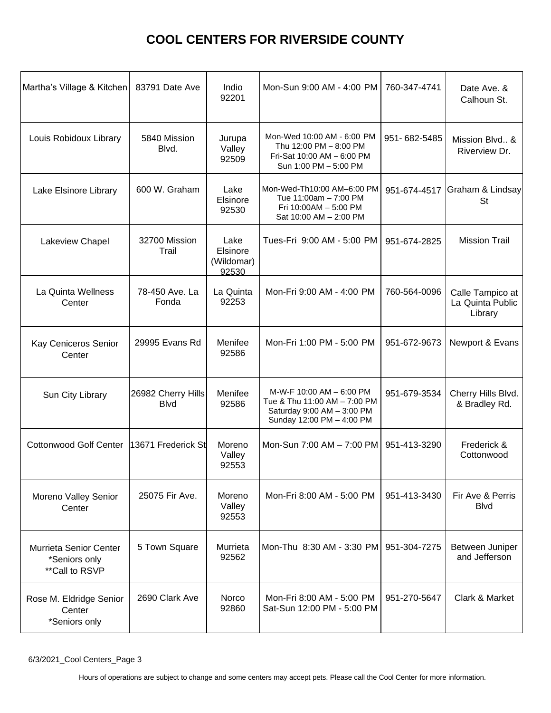| Martha's Village & Kitchen                                 | 83791 Date Ave                    | Indio<br>92201                          | Mon-Sun 9:00 AM - 4:00 PM                                                                                           | 760-347-4741 | Date Ave. &<br>Calhoun St.                      |
|------------------------------------------------------------|-----------------------------------|-----------------------------------------|---------------------------------------------------------------------------------------------------------------------|--------------|-------------------------------------------------|
| Louis Robidoux Library                                     | 5840 Mission<br>Blvd.             | Jurupa<br>Valley<br>92509               | Mon-Wed 10:00 AM - 6:00 PM<br>Thu 12:00 PM - 8:00 PM<br>Fri-Sat 10:00 AM - 6:00 PM<br>Sun 1:00 PM - 5:00 PM         | 951-682-5485 | Mission Blvd., &<br>Riverview Dr.               |
| Lake Elsinore Library                                      | 600 W. Graham                     | Lake<br>Elsinore<br>92530               | Mon-Wed-Th10:00 AM-6:00 PM<br>Tue 11:00am - 7:00 PM<br>Fri 10:00AM - 5:00 PM<br>Sat 10:00 AM - 2:00 PM              | 951-674-4517 | Graham & Lindsay<br>St                          |
| <b>Lakeview Chapel</b>                                     | 32700 Mission<br>Trail            | Lake<br>Elsinore<br>(Wildomar)<br>92530 | Tues-Fri 9:00 AM - 5:00 PM                                                                                          | 951-674-2825 | <b>Mission Trail</b>                            |
| La Quinta Wellness<br>Center                               | 78-450 Ave. La<br>Fonda           | La Quinta<br>92253                      | Mon-Fri 9:00 AM - 4:00 PM                                                                                           | 760-564-0096 | Calle Tampico at<br>La Quinta Public<br>Library |
| Kay Ceniceros Senior<br>Center                             | 29995 Evans Rd                    | Menifee<br>92586                        | Mon-Fri 1:00 PM - 5:00 PM                                                                                           | 951-672-9673 | Newport & Evans                                 |
| Sun City Library                                           | 26982 Cherry Hills<br><b>Blvd</b> | Menifee<br>92586                        | M-W-F 10:00 AM - 6:00 PM<br>Tue & Thu 11:00 AM - 7:00 PM<br>Saturday 9:00 AM - 3:00 PM<br>Sunday 12:00 PM - 4:00 PM | 951-679-3534 | Cherry Hills Blvd.<br>& Bradley Rd.             |
| <b>Cottonwood Golf Center</b>                              | 13671 Frederick St                | Moreno<br>Valley<br>92553               | Mon-Sun 7:00 AM - 7:00 PM                                                                                           | 951-413-3290 | Frederick &<br>Cottonwood                       |
| Moreno Valley Senior<br>Center                             | 25075 Fir Ave.                    | Moreno<br>Valley<br>92553               | Mon-Fri 8:00 AM - 5:00 PM                                                                                           | 951-413-3430 | Fir Ave & Perris<br><b>Blvd</b>                 |
| Murrieta Senior Center<br>*Seniors only<br>** Call to RSVP | 5 Town Square                     | Murrieta<br>92562                       | Mon-Thu 8:30 AM - 3:30 PM                                                                                           | 951-304-7275 | Between Juniper<br>and Jefferson                |
| Rose M. Eldridge Senior<br>Center<br>*Seniors only         | 2690 Clark Ave                    | Norco<br>92860                          | Mon-Fri 8:00 AM - 5:00 PM<br>Sat-Sun 12:00 PM - 5:00 PM                                                             | 951-270-5647 | Clark & Market                                  |

6/3/2021\_Cool Centers\_Page 3

Hours of operations are subject to change and some centers may accept pets. Please call the Cool Center for more information.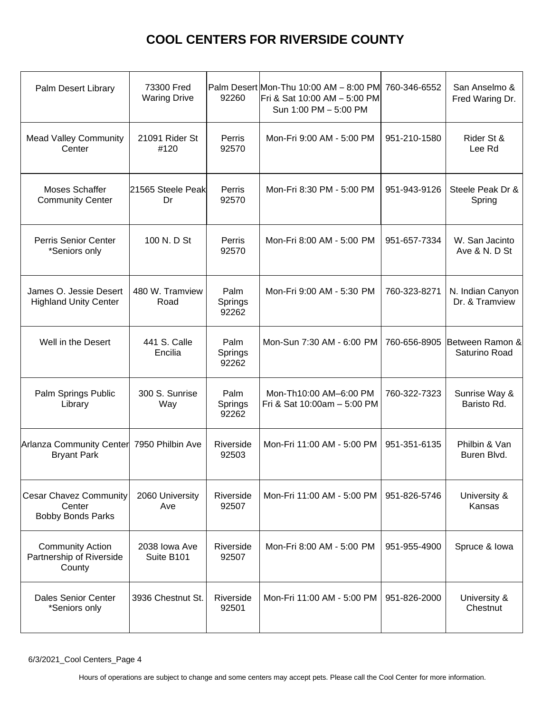| Palm Desert Library                                                 | 73300 Fred<br><b>Waring Drive</b> | 92260                    | Palm Desert Mon-Thu 10:00 AM - 8:00 PM<br>Fri & Sat 10:00 AM - 5:00 PM<br>Sun 1:00 PM - 5:00 PM | 760-346-6552 | San Anselmo &<br>Fred Waring Dr.   |
|---------------------------------------------------------------------|-----------------------------------|--------------------------|-------------------------------------------------------------------------------------------------|--------------|------------------------------------|
| <b>Mead Valley Community</b><br>Center                              | 21091 Rider St<br>#120            | Perris<br>92570          | Mon-Fri 9:00 AM - 5:00 PM                                                                       | 951-210-1580 | Rider St &<br>Lee Rd               |
| Moses Schaffer<br><b>Community Center</b>                           | 21565 Steele Peak<br>Dr           | Perris<br>92570          | Mon-Fri 8:30 PM - 5:00 PM                                                                       | 951-943-9126 | Steele Peak Dr &<br>Spring         |
| <b>Perris Senior Center</b><br>*Seniors only                        | 100 N. D St                       | Perris<br>92570          | Mon-Fri 8:00 AM - 5:00 PM                                                                       | 951-657-7334 | W. San Jacinto<br>Ave & N. D St    |
| James O. Jessie Desert<br><b>Highland Unity Center</b>              | 480 W. Tramview<br>Road           | Palm<br>Springs<br>92262 | Mon-Fri 9:00 AM - 5:30 PM                                                                       | 760-323-8271 | N. Indian Canyon<br>Dr. & Tramview |
| Well in the Desert                                                  | 441 S. Calle<br>Encilia           | Palm<br>Springs<br>92262 | Mon-Sun 7:30 AM - 6:00 PM                                                                       | 760-656-8905 | Between Ramon &<br>Saturino Road   |
| Palm Springs Public<br>Library                                      | 300 S. Sunrise<br>Way             | Palm<br>Springs<br>92262 | Mon-Th10:00 AM-6:00 PM<br>Fri & Sat 10:00am - 5:00 PM                                           | 760-322-7323 | Sunrise Way &<br>Baristo Rd.       |
| Arlanza Community Center 7950 Philbin Ave<br><b>Bryant Park</b>     |                                   | Riverside<br>92503       | Mon-Fri 11:00 AM - 5:00 PM                                                                      | 951-351-6135 | Philbin & Van<br>Buren Blvd.       |
| <b>Cesar Chavez Community</b><br>Center<br><b>Bobby Bonds Parks</b> | 2060 University<br>Ave            | Riverside<br>92507       | Mon-Fri 11:00 AM - 5:00 PM                                                                      | 951-826-5746 | University &<br>Kansas             |
| <b>Community Action</b><br>Partnership of Riverside<br>County       | 2038 Iowa Ave<br>Suite B101       | Riverside<br>92507       | Mon-Fri 8:00 AM - 5:00 PM                                                                       | 951-955-4900 | Spruce & Iowa                      |
| <b>Dales Senior Center</b><br>*Seniors only                         | 3936 Chestnut St.                 | Riverside<br>92501       | Mon-Fri 11:00 AM - 5:00 PM                                                                      | 951-826-2000 | University &<br>Chestnut           |

6/3/2021\_Cool Centers\_Page 4

Hours of operations are subject to change and some centers may accept pets. Please call the Cool Center for more information.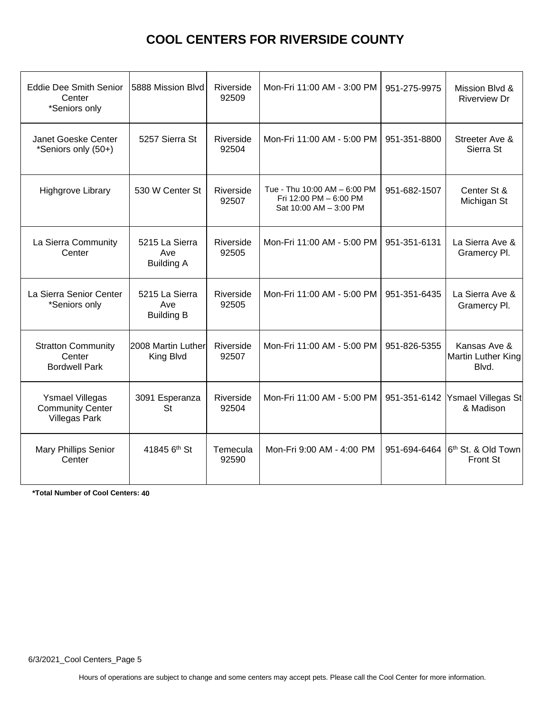| <b>Eddie Dee Smith Senior</b><br>Center<br>*Seniors only                  | 5888 Mission Blvd                          | Riverside<br>92509 | Mon-Fri 11:00 AM - 3:00 PM                                                       | 951-275-9975 | Mission Blvd &<br><b>Riverview Dr</b>              |
|---------------------------------------------------------------------------|--------------------------------------------|--------------------|----------------------------------------------------------------------------------|--------------|----------------------------------------------------|
| Janet Goeske Center<br>*Seniors only (50+)                                | 5257 Sierra St                             | Riverside<br>92504 | Mon-Fri 11:00 AM - 5:00 PM                                                       | 951-351-8800 | Streeter Ave &<br>Sierra St                        |
| <b>Highgrove Library</b>                                                  | 530 W Center St                            | Riverside<br>92507 | Tue - Thu 10:00 AM - 6:00 PM<br>Fri 12:00 PM - 6:00 PM<br>Sat 10:00 AM - 3:00 PM | 951-682-1507 | Center St &<br>Michigan St                         |
| La Sierra Community<br>Center                                             | 5215 La Sierra<br>Ave<br><b>Building A</b> | Riverside<br>92505 | Mon-Fri 11:00 AM - 5:00 PM                                                       | 951-351-6131 | La Sierra Ave &<br>Gramercy Pl.                    |
| La Sierra Senior Center<br>*Seniors only                                  | 5215 La Sierra<br>Ave<br><b>Building B</b> | Riverside<br>92505 | Mon-Fri 11:00 AM - 5:00 PM                                                       | 951-351-6435 | La Sierra Ave &<br>Gramercy Pl.                    |
| <b>Stratton Community</b><br>Center<br><b>Bordwell Park</b>               | 2008 Martin Luther<br>King Blvd            | Riverside<br>92507 | Mon-Fri 11:00 AM - 5:00 PM                                                       | 951-826-5355 | Kansas Ave &<br><b>Martin Luther King</b><br>Blvd. |
| <b>Ysmael Villegas</b><br><b>Community Center</b><br><b>Villegas Park</b> | 3091 Esperanza<br><b>St</b>                | Riverside<br>92504 | Mon-Fri 11:00 AM - 5:00 PM                                                       | 951-351-6142 | Ysmael Villegas St<br>& Madison                    |
| <b>Mary Phillips Senior</b><br>Center                                     | 41845 6th St                               | Temecula<br>92590  | Mon-Fri 9:00 AM - 4:00 PM                                                        | 951-694-6464 | 6 <sup>th</sup> St. & Old Town<br><b>Front St</b>  |

**\*Total Number of Cool Centers: 40**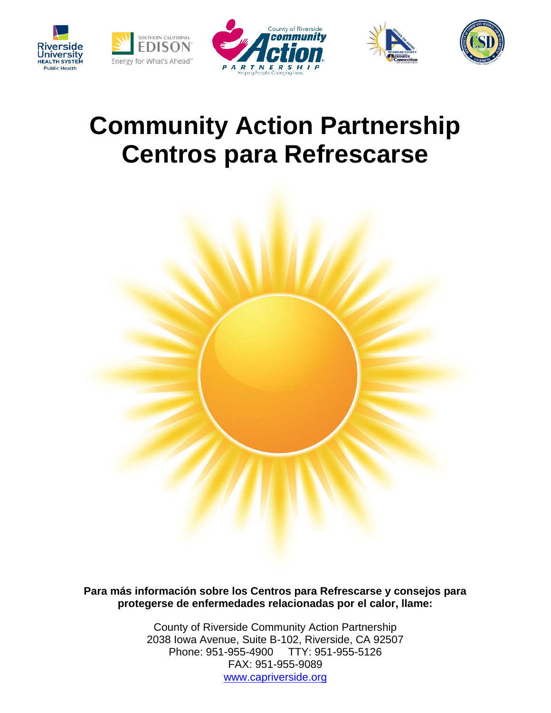









# **Community Action Partnership Centros para Refrescarse**



**Para más información sobre los Centros para Refrescarse y consejos para protegerse de enfermedades relacionadas por el calor, llame:**

> County of Riverside Community Action Partnership 2038 Iowa Avenue, Suite B-102, Riverside, CA 92507 Phone: 951-955-4900 TTY: 951-955-5126 FAX: 951-955-9089 [www.capriverside.org](http://www.capriverside.org/)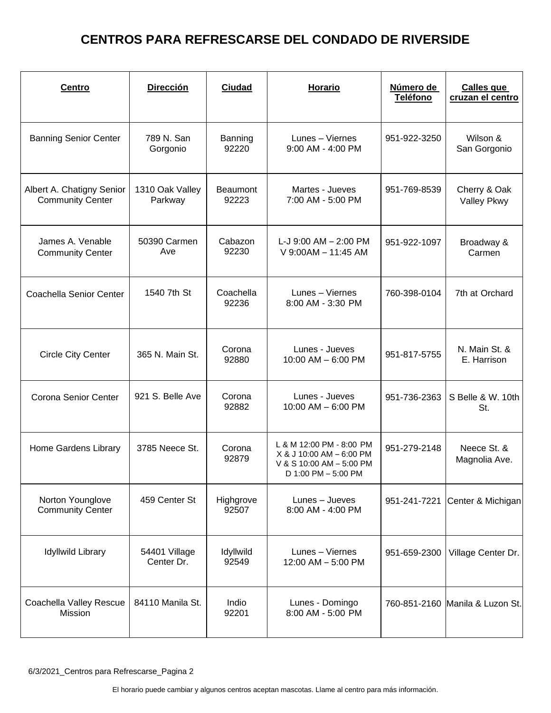| <b>Centro</b>                                        | <b>Dirección</b>            | <b>Ciudad</b>            | <b>Horario</b>                                                                                          | Número de<br><b>Teléfono</b> | <b>Calles que</b><br>cruzan el centro |
|------------------------------------------------------|-----------------------------|--------------------------|---------------------------------------------------------------------------------------------------------|------------------------------|---------------------------------------|
| <b>Banning Senior Center</b>                         | 789 N. San<br>Gorgonio      | Banning<br>92220         | Lunes - Viernes<br>9:00 AM - 4:00 PM                                                                    | 951-922-3250                 | Wilson &<br>San Gorgonio              |
| Albert A. Chatigny Senior<br><b>Community Center</b> | 1310 Oak Valley<br>Parkway  | <b>Beaumont</b><br>92223 | Martes - Jueves<br>7:00 AM - 5:00 PM                                                                    | 951-769-8539                 | Cherry & Oak<br>Valley Pkwy           |
| James A. Venable<br><b>Community Center</b>          | 50390 Carmen<br>Ave         | Cabazon<br>92230         | L-J $9:00$ AM $- 2:00$ PM<br>V 9:00AM - 11:45 AM                                                        | 951-922-1097                 | Broadway &<br>Carmen                  |
| Coachella Senior Center                              | 1540 7th St                 | Coachella<br>92236       | Lunes - Viernes<br>8:00 AM - 3:30 PM                                                                    | 760-398-0104                 | 7th at Orchard                        |
| <b>Circle City Center</b>                            | 365 N. Main St.             | Corona<br>92880          | Lunes - Jueves<br>10:00 AM - 6:00 PM                                                                    | 951-817-5755                 | N. Main St. &<br>E. Harrison          |
| Corona Senior Center                                 | 921 S. Belle Ave            | Corona<br>92882          | Lunes - Jueves<br>$10:00$ AM $-6:00$ PM                                                                 | 951-736-2363                 | S Belle & W. 10th<br>St.              |
| Home Gardens Library                                 | 3785 Neece St.              | Corona<br>92879          | L & M 12:00 PM - 8:00 PM<br>X & J 10:00 AM - 6:00 PM<br>V & S 10:00 AM - 5:00 PM<br>D 1:00 PM - 5:00 PM | 951-279-2148                 | Neece St. &<br>Magnolia Ave.          |
| Norton Younglove<br><b>Community Center</b>          | 459 Center St               | Highgrove<br>92507       | Lunes - Jueves<br>8:00 AM - 4:00 PM                                                                     |                              | 951-241-7221 Center & Michigan        |
| <b>Idyllwild Library</b>                             | 54401 Village<br>Center Dr. | Idyllwild<br>92549       | Lunes - Viernes<br>12:00 AM - 5:00 PM                                                                   | 951-659-2300                 | Village Center Dr.                    |
| Coachella Valley Rescue<br>Mission                   | 84110 Manila St.            | Indio<br>92201           | Lunes - Domingo<br>8:00 AM - 5:00 PM                                                                    |                              | 760-851-2160 Manila & Luzon St.       |

6/3/2021\_Centros para Refrescarse\_Pagina 2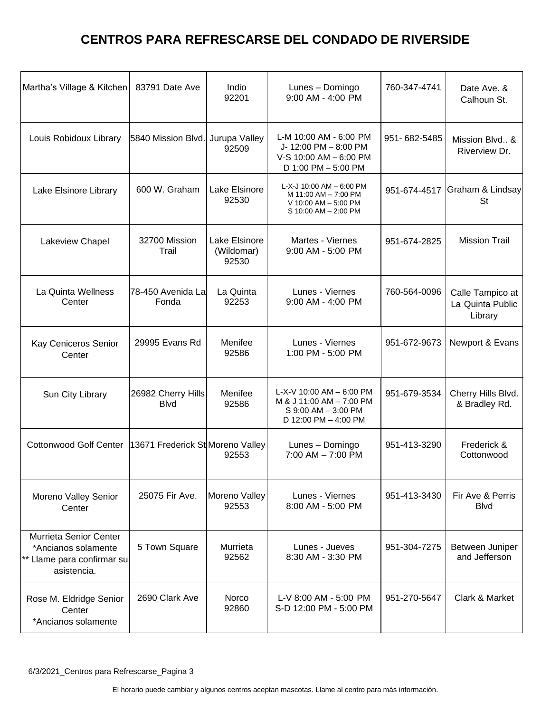| Martha's Village & Kitchen                                                                 | 83791 Date Ave                    | Indio<br>92201                       | Lunes - Domingo<br>9:00 AM - 4:00 PM                                                                | 760-347-4741 | Date Ave. &<br>Calhoun St.                      |
|--------------------------------------------------------------------------------------------|-----------------------------------|--------------------------------------|-----------------------------------------------------------------------------------------------------|--------------|-------------------------------------------------|
| Louis Robidoux Library                                                                     | 5840 Mission Blvd.                | Jurupa Valley<br>92509               | L-M 10:00 AM - 6:00 PM<br>J-12:00 PM - 8:00 PM<br>V-S 10:00 AM - 6:00 PM<br>D 1:00 PM - 5:00 PM     | 951-682-5485 | Mission Blvd., &<br>Riverview Dr.               |
| Lake Elsinore Library                                                                      | 600 W. Graham                     | Lake Elsinore<br>92530               | L-X-J 10:00 AM - 6:00 PM<br>M 11:00 AM - 7:00 PM<br>V 10:00 AM - 5:00 PM<br>S 10:00 AM - 2:00 PM    | 951-674-4517 | Graham & Lindsay<br>St                          |
| Lakeview Chapel                                                                            | 32700 Mission<br>Trail            | Lake Elsinore<br>(Wildomar)<br>92530 | Martes - Viernes<br>9:00 AM - 5:00 PM                                                               | 951-674-2825 | <b>Mission Trail</b>                            |
| La Quinta Wellness<br>Center                                                               | 78-450 Avenida La<br>Fonda        | La Quinta<br>92253                   | Lunes - Viernes<br>9:00 AM - 4:00 PM                                                                | 760-564-0096 | Calle Tampico at<br>La Quinta Public<br>Library |
| Kay Ceniceros Senior<br>Center                                                             | 29995 Evans Rd                    | Menifee<br>92586                     | Lunes - Viernes<br>1:00 PM - 5:00 PM                                                                | 951-672-9673 | Newport & Evans                                 |
| Sun City Library                                                                           | 26982 Cherry Hills<br><b>Blvd</b> | Menifee<br>92586                     | L-X-V 10:00 AM - 6:00 PM<br>M & J 11:00 AM - 7:00 PM<br>S 9:00 AM - 3:00 PM<br>D 12:00 PM - 4:00 PM | 951-679-3534 | Cherry Hills Blvd.<br>& Bradley Rd.             |
| <b>Cottonwood Golf Center</b>                                                              | 13671 Frederick St Moreno Valley  | 92553                                | Lunes - Domingo<br>$7:00$ AM $-7:00$ PM                                                             | 951-413-3290 | Frederick &<br>Cottonwood                       |
| Moreno Valley Senior<br>Center                                                             | 25075 Fir Ave.                    | Moreno Valley<br>92553               | Lunes - Viernes<br>8:00 AM - 5:00 PM                                                                | 951-413-3430 | Fir Ave & Perris<br><b>Blvd</b>                 |
| Murrieta Senior Center<br>*Ancianos solamente<br>** Llame para confirmar su<br>asistencia. | 5 Town Square                     | Murrieta<br>92562                    | Lunes - Jueves<br>8:30 AM - 3:30 PM                                                                 | 951-304-7275 | Between Juniper<br>and Jefferson                |
| Rose M. Eldridge Senior<br>Center<br>*Ancianos solamente                                   | 2690 Clark Ave                    | Norco<br>92860                       | L-V 8:00 AM - 5:00 PM<br>S-D 12:00 PM - 5:00 PM                                                     | 951-270-5647 | Clark & Market                                  |

6/3/2021\_Centros para Refrescarse\_Pagina 3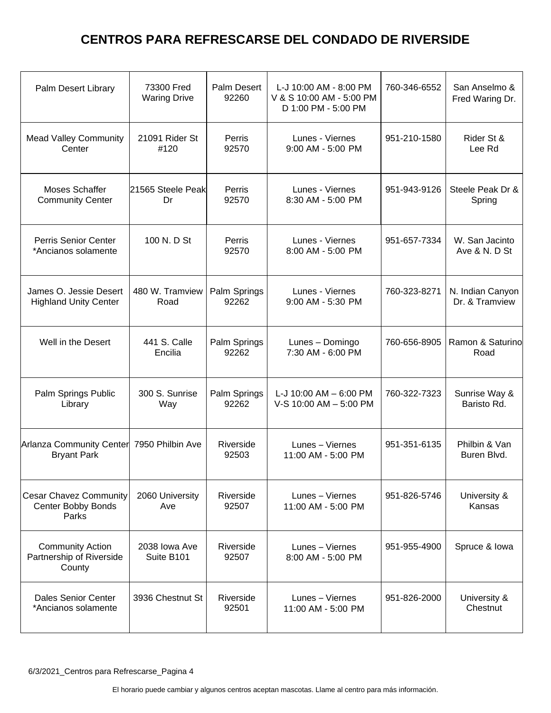| Palm Desert Library                                           | 73300 Fred<br><b>Waring Drive</b> | <b>Palm Desert</b><br>92260 | L-J 10:00 AM - 8:00 PM<br>V & S 10:00 AM - 5:00 PM<br>D 1:00 PM - 5:00 PM | 760-346-6552 | San Anselmo &<br>Fred Waring Dr.   |
|---------------------------------------------------------------|-----------------------------------|-----------------------------|---------------------------------------------------------------------------|--------------|------------------------------------|
| <b>Mead Valley Community</b><br>Center                        | 21091 Rider St<br>#120            | Perris<br>92570             | Lunes - Viernes<br>9:00 AM - 5:00 PM                                      | 951-210-1580 | Rider St &<br>Lee Rd               |
| <b>Moses Schaffer</b><br><b>Community Center</b>              | 21565 Steele Peak<br>Dr           | Perris<br>92570             | Lunes - Viernes<br>8:30 AM - 5:00 PM                                      | 951-943-9126 | Steele Peak Dr &<br>Spring         |
| <b>Perris Senior Center</b><br>*Ancianos solamente            | 100 N. D St                       | Perris<br>92570             | Lunes - Viernes<br>8:00 AM - 5:00 PM                                      | 951-657-7334 | W. San Jacinto<br>Ave & N. D St    |
| James O. Jessie Desert<br><b>Highland Unity Center</b>        | 480 W. Tramview<br>Road           | Palm Springs<br>92262       | Lunes - Viernes<br>9:00 AM - 5:30 PM                                      | 760-323-8271 | N. Indian Canyon<br>Dr. & Tramview |
| Well in the Desert                                            | 441 S. Calle<br>Encilia           | Palm Springs<br>92262       | Lunes - Domingo<br>7:30 AM - 6:00 PM                                      | 760-656-8905 | Ramon & Saturino<br>Road           |
| Palm Springs Public<br>Library                                | 300 S. Sunrise<br>Way             | Palm Springs<br>92262       | L-J 10:00 AM $-$ 6:00 PM<br>V-S 10:00 AM - 5:00 PM                        | 760-322-7323 | Sunrise Way &<br>Baristo Rd.       |
| Arlanza Community Center<br><b>Bryant Park</b>                | 7950 Philbin Ave                  | Riverside<br>92503          | Lunes - Viernes<br>11:00 AM - 5:00 PM                                     | 951-351-6135 | Philbin & Van<br>Buren Blvd.       |
| <b>Cesar Chavez Community</b><br>Center Bobby Bonds<br>Parks  | 2060 University<br>Ave            | Riverside<br>92507          | Lunes - Viernes<br>11:00 AM - 5:00 PM                                     | 951-826-5746 | University &<br>Kansas             |
| <b>Community Action</b><br>Partnership of Riverside<br>County | 2038 Iowa Ave<br>Suite B101       | Riverside<br>92507          | Lunes - Viernes<br>8:00 AM - 5:00 PM                                      | 951-955-4900 | Spruce & Iowa                      |
| <b>Dales Senior Center</b><br>*Ancianos solamente             | 3936 Chestnut St                  | Riverside<br>92501          | Lunes - Viernes<br>11:00 AM - 5:00 PM                                     | 951-826-2000 | University &<br>Chestnut           |
|                                                               |                                   |                             |                                                                           |              |                                    |